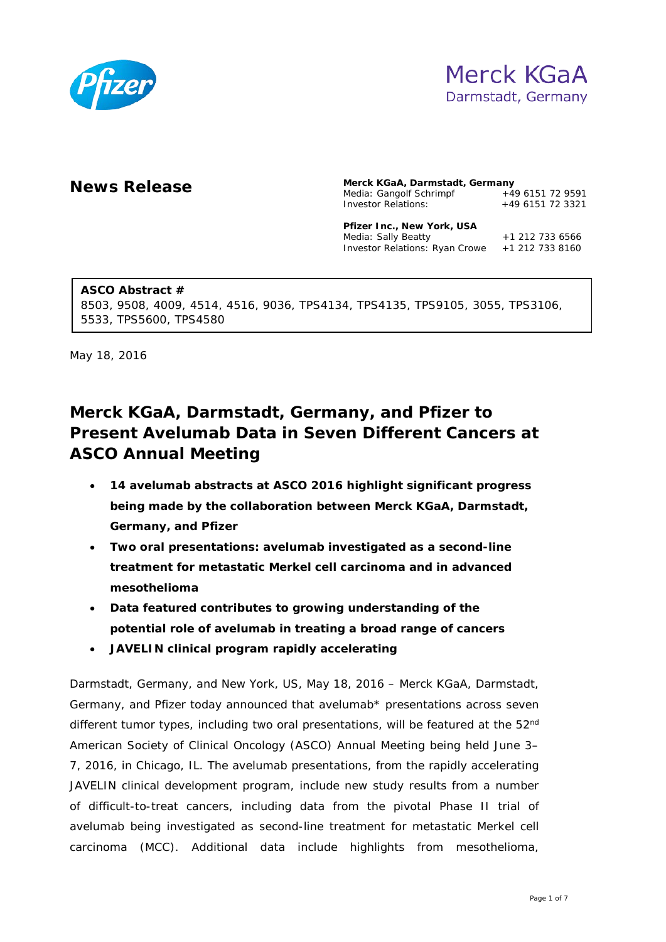

**News Release Merck KGaA, Darmstadt, Germany Merck KGaA, Darmstadt, Germany Media: Gangolf Schrimpf**  $+496151729591$ Media: Gangolf Schrimpf<br>Investor Relations: Investor Relations: +49 6151 72 3321 **Pfizer Inc., New York, USA** Media: Sally Beatty +1 212 733 6566

Investor Relations: Ryan Crowe +1 212 733 8160

## **ASCO Abstract #**

8503, 9508, 4009, 4514, 4516, 9036, TPS4134, TPS4135, TPS9105, 3055, TPS3106, 5533, TPS5600, TPS4580

May 18, 2016

# **Merck KGaA, Darmstadt, Germany, and Pfizer to Present Avelumab Data in Seven Different Cancers at ASCO Annual Meeting**

- **14 avelumab abstracts at ASCO 2016 highlight significant progress being made by the collaboration between Merck KGaA, Darmstadt, Germany, and Pfizer**
- **Two oral presentations: avelumab investigated as a second-line treatment for metastatic Merkel cell carcinoma and in advanced mesothelioma**
- **Data featured contributes to growing understanding of the potential role of avelumab in treating a broad range of cancers**
- **JAVELIN clinical program rapidly accelerating**

Darmstadt, Germany, and New York, US, May 18, 2016 – Merck KGaA, Darmstadt, Germany, and Pfizer today announced that avelumab\* presentations across seven different tumor types, including two oral presentations, will be featured at the 52<sup>nd</sup> American Society of Clinical Oncology (ASCO) Annual Meeting being held June 3– 7, 2016, in Chicago, IL. The avelumab presentations, from the rapidly accelerating JAVELIN clinical development program, include new study results from a number of difficult-to-treat cancers, including data from the pivotal Phase II trial of avelumab being investigated as second-line treatment for metastatic Merkel cell carcinoma (MCC). Additional data include highlights from mesothelioma,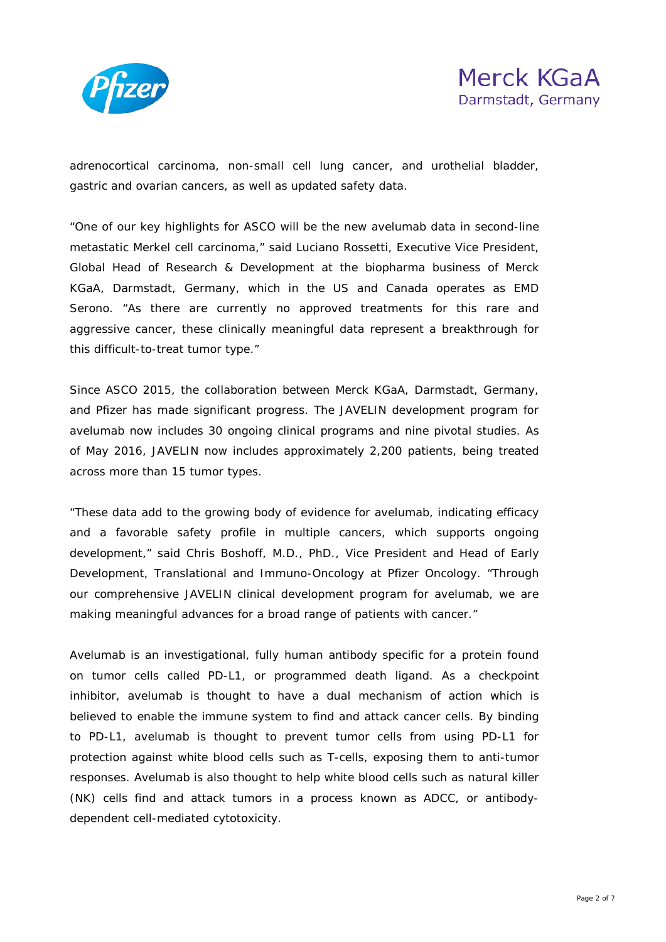



adrenocortical carcinoma, non-small cell lung cancer, and urothelial bladder, gastric and ovarian cancers, as well as updated safety data.

"One of our key highlights for ASCO will be the new avelumab data in second-line metastatic Merkel cell carcinoma," said Luciano Rossetti, Executive Vice President, Global Head of Research & Development at the biopharma business of Merck KGaA, Darmstadt, Germany, which in the US and Canada operates as EMD Serono. "As there are currently no approved treatments for this rare and aggressive cancer, these clinically meaningful data represent a breakthrough for this difficult-to-treat tumor type."

Since ASCO 2015, the collaboration between Merck KGaA, Darmstadt, Germany, and Pfizer has made significant progress. The JAVELIN development program for avelumab now includes 30 ongoing clinical programs and nine pivotal studies. As of May 2016, JAVELIN now includes approximately 2,200 patients, being treated across more than 15 tumor types.

"These data add to the growing body of evidence for avelumab, indicating efficacy and a favorable safety profile in multiple cancers, which supports ongoing development," said Chris Boshoff, M.D., PhD., Vice President and Head of Early Development, Translational and Immuno-Oncology at Pfizer Oncology. "Through our comprehensive JAVELIN clinical development program for avelumab, we are making meaningful advances for a broad range of patients with cancer."

Avelumab is an investigational, fully human antibody specific for a protein found on tumor cells called PD-L1, or programmed death ligand. As a checkpoint inhibitor, avelumab is thought to have a dual mechanism of action which is believed to enable the immune system to find and attack cancer cells. By binding to PD-L1, avelumab is thought to prevent tumor cells from using PD-L1 for protection against white blood cells such as T-cells, exposing them to anti-tumor responses. Avelumab is also thought to help white blood cells such as natural killer (NK) cells find and attack tumors in a process known as ADCC, or antibodydependent cell-mediated cytotoxicity.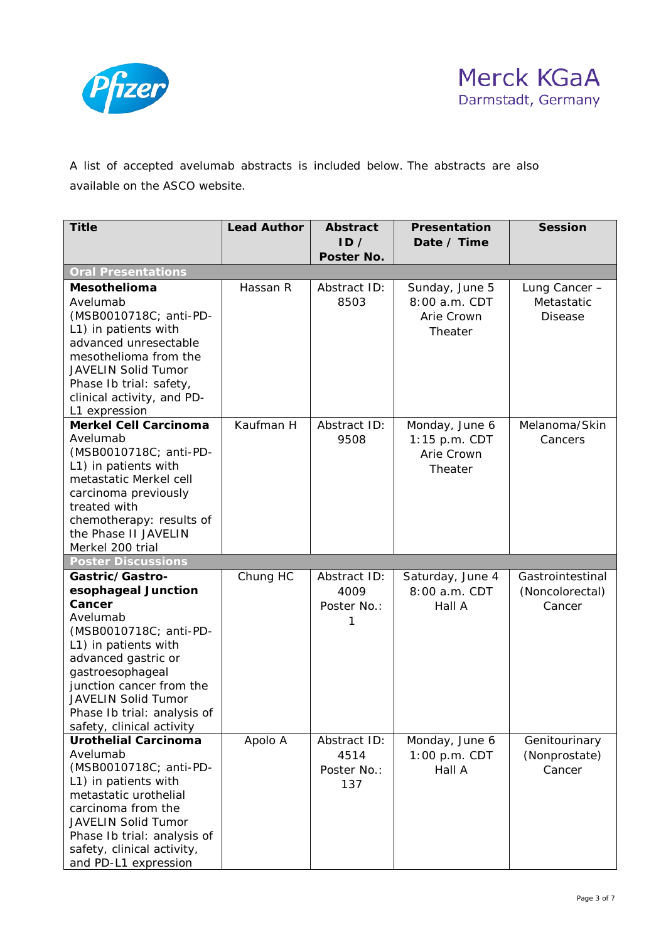



A list of accepted avelumab abstracts is included below. The abstracts are also available on the [ASCO website.](javascript:void(0))

| <b>Title</b>                                                                                                                                                                                                                                                 | <b>Lead Author</b> | <b>Abstract</b><br>ID/                     | Presentation<br>Date / Time                                | <b>Session</b>                                |
|--------------------------------------------------------------------------------------------------------------------------------------------------------------------------------------------------------------------------------------------------------------|--------------------|--------------------------------------------|------------------------------------------------------------|-----------------------------------------------|
|                                                                                                                                                                                                                                                              |                    | Poster No.                                 |                                                            |                                               |
| <b>Oral Presentations</b>                                                                                                                                                                                                                                    |                    |                                            |                                                            |                                               |
| <b>Mesothelioma</b><br>Avelumab<br>(MSB0010718C; anti-PD-<br>L1) in patients with<br>advanced unresectable<br>mesothelioma from the<br><b>JAVELIN Solid Tumor</b><br>Phase Ib trial: safety,<br>clinical activity, and PD-<br>L1 expression                  | Hassan R           | Abstract ID:<br>8503                       | Sunday, June 5<br>8:00 a.m. CDT<br>Arie Crown<br>Theater   | Lung Cancer -<br>Metastatic<br><b>Disease</b> |
| <b>Merkel Cell Carcinoma</b><br>Avelumab<br>(MSB0010718C; anti-PD-<br>L1) in patients with<br>metastatic Merkel cell<br>carcinoma previously<br>treated with<br>chemotherapy: results of<br>the Phase II JAVELIN<br>Merkel 200 trial                         | Kaufman H          | Abstract ID:<br>9508                       | Monday, June 6<br>$1:15$ p.m. CDT<br>Arie Crown<br>Theater | Melanoma/Skin<br>Cancers                      |
| <b>Poster Discussions</b>                                                                                                                                                                                                                                    |                    |                                            |                                                            |                                               |
| Gastric/Gastro-                                                                                                                                                                                                                                              | Chung HC           | Abstract ID:                               | Saturday, June 4                                           | Gastrointestinal                              |
| esophageal Junction<br>Cancer<br>Avelumab<br>(MSB0010718C; anti-PD-<br>L1) in patients with<br>advanced gastric or<br>gastroesophageal<br>junction cancer from the<br><b>JAVELIN Solid Tumor</b><br>Phase Ib trial: analysis of<br>safety, clinical activity |                    | 4009<br>Poster No.:                        | 8:00 a.m. CDT<br>Hall A                                    | (Noncolorectal)<br>Cancer                     |
| <b>Urothelial Carcinoma</b><br>Avelumab<br>(MSB0010718C; anti-PD-<br>L1) in patients with<br>metastatic urothelial<br>carcinoma from the<br><b>JAVELIN Solid Tumor</b><br>Phase Ib trial: analysis of<br>safety, clinical activity,<br>and PD-L1 expression  | Apolo A            | Abstract ID:<br>4514<br>Poster No.:<br>137 | Monday, June 6<br>1:00 p.m. CDT<br>Hall A                  | Genitourinary<br>(Nonprostate)<br>Cancer      |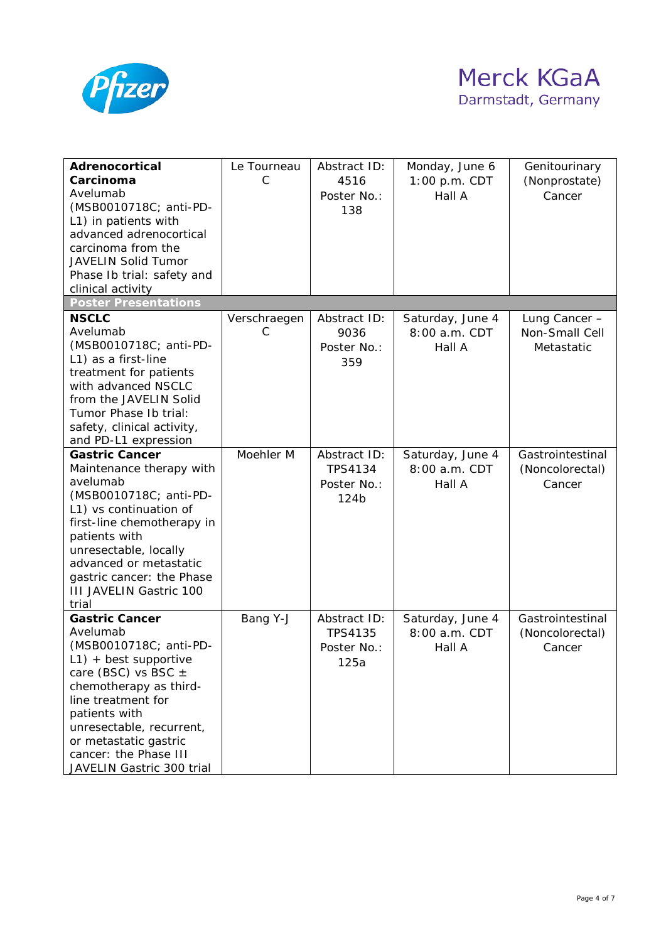



| Adrenocortical<br>Carcinoma<br>Avelumab<br>(MSB0010718C; anti-PD-<br>L1) in patients with<br>advanced adrenocortical<br>carcinoma from the<br><b>JAVELIN Solid Tumor</b><br>Phase Ib trial: safety and<br>clinical activity                                                                    | Le Tourneau<br>C  | Abstract ID:<br>4516<br>Poster No.:<br>138            | Monday, June 6<br>1:00 p.m. CDT<br>Hall A   | Genitourinary<br>(Nonprostate)<br>Cancer      |
|------------------------------------------------------------------------------------------------------------------------------------------------------------------------------------------------------------------------------------------------------------------------------------------------|-------------------|-------------------------------------------------------|---------------------------------------------|-----------------------------------------------|
| <b>Poster Presentations</b><br><b>NSCLC</b><br>Avelumab<br>(MSB0010718C; anti-PD-<br>L1) as a first-line<br>treatment for patients<br>with advanced NSCLC<br>from the JAVELIN Solid<br>Tumor Phase Ib trial:<br>safety, clinical activity,<br>and PD-L1 expression                             | Verschraegen<br>C | Abstract ID:<br>9036<br>Poster No.:<br>359            | Saturday, June 4<br>8:00 a.m. CDT<br>Hall A | Lung Cancer -<br>Non-Small Cell<br>Metastatic |
| <b>Gastric Cancer</b><br>Maintenance therapy with<br>avelumab<br>(MSB0010718C; anti-PD-<br>L1) vs continuation of<br>first-line chemotherapy in<br>patients with<br>unresectable, locally<br>advanced or metastatic<br>gastric cancer: the Phase<br><b>III JAVELIN Gastric 100</b><br>trial    | Moehler M         | Abstract ID:<br><b>TPS4134</b><br>Poster No.:<br>124b | Saturday, June 4<br>8:00 a.m. CDT<br>Hall A | Gastrointestinal<br>(Noncolorectal)<br>Cancer |
| <b>Gastric Cancer</b><br>Avelumab<br>(MSB0010718C; anti-PD-<br>$L1$ ) + best supportive<br>care (BSC) vs BSC $\pm$<br>chemotherapy as third-<br>line treatment for<br>patients with<br>unresectable, recurrent,<br>or metastatic gastric<br>cancer: the Phase III<br>JAVELIN Gastric 300 trial | Bang Y-J          | Abstract ID:<br><b>TPS4135</b><br>Poster No.:<br>125a | Saturday, June 4<br>8:00 a.m. CDT<br>Hall A | Gastrointestinal<br>(Noncolorectal)<br>Cancer |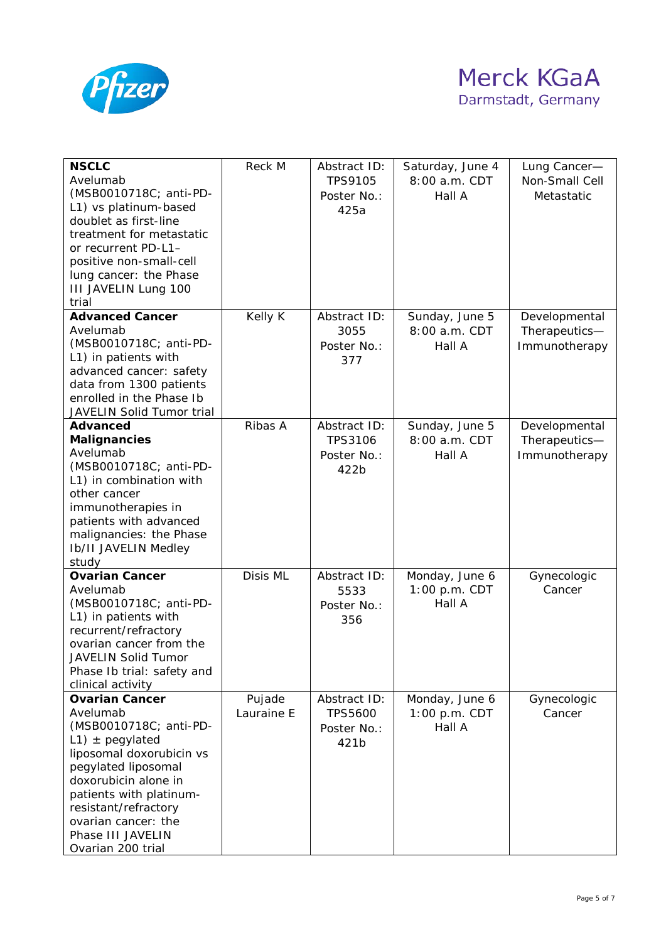



| <b>NSCLC</b>                                    | Reck M     | Abstract ID:   | Saturday, June 4 | Lung Cancer-   |
|-------------------------------------------------|------------|----------------|------------------|----------------|
| Avelumab                                        |            | TPS9105        | 8:00 a.m. CDT    | Non-Small Cell |
| (MSB0010718C; anti-PD-                          |            | Poster No.:    | Hall A           | Metastatic     |
| L1) vs platinum-based<br>doublet as first-line  |            | 425a           |                  |                |
| treatment for metastatic                        |            |                |                  |                |
| or recurrent PD-L1-                             |            |                |                  |                |
| positive non-small-cell                         |            |                |                  |                |
| lung cancer: the Phase                          |            |                |                  |                |
| <b>III JAVELIN Lung 100</b>                     |            |                |                  |                |
| trial                                           |            |                |                  |                |
| <b>Advanced Cancer</b>                          | Kelly K    | Abstract ID:   | Sunday, June 5   | Developmental  |
| Avelumab                                        |            | 3055           | 8:00 a.m. CDT    | Therapeutics-  |
| (MSB0010718C; anti-PD-                          |            | Poster No.:    | Hall A           | Immunotherapy  |
| L1) in patients with                            |            | 377            |                  |                |
| advanced cancer: safety                         |            |                |                  |                |
| data from 1300 patients                         |            |                |                  |                |
| enrolled in the Phase Ib                        |            |                |                  |                |
| JAVELIN Solid Tumor trial                       |            |                |                  |                |
| <b>Advanced</b>                                 | Ribas A    | Abstract ID:   | Sunday, June 5   | Developmental  |
| <b>Malignancies</b>                             |            | <b>TPS3106</b> | 8:00 a.m. CDT    | Therapeutics-  |
| Avelumab                                        |            | Poster No.:    | Hall A           | Immunotherapy  |
| (MSB0010718C; anti-PD-                          |            | 422b           |                  |                |
| L1) in combination with                         |            |                |                  |                |
| other cancer                                    |            |                |                  |                |
| immunotherapies in                              |            |                |                  |                |
| patients with advanced                          |            |                |                  |                |
| malignancies: the Phase<br>Ib/II JAVELIN Medley |            |                |                  |                |
| study                                           |            |                |                  |                |
| <b>Ovarian Cancer</b>                           | Disis ML   | Abstract ID:   | Monday, June 6   | Gynecologic    |
| Avelumab                                        |            | 5533           | 1:00 p.m. CDT    | Cancer         |
| (MSB0010718C; anti-PD-                          |            | Poster No.:    | Hall A           |                |
| L1) in patients with                            |            | 356            |                  |                |
| recurrent/refractory                            |            |                |                  |                |
| ovarian cancer from the                         |            |                |                  |                |
| JAVELIN Solid Tumor                             |            |                |                  |                |
| Phase Ib trial: safety and                      |            |                |                  |                |
| clinical activity                               |            |                |                  |                |
| <b>Ovarian Cancer</b>                           | Pujade     | Abstract ID:   | Monday, June 6   | Gynecologic    |
| Avelumab                                        | Lauraine E | <b>TPS5600</b> | $1:00$ p.m. CDT  | Cancer         |
| (MSB0010718C; anti-PD-                          |            | Poster No.:    | Hall A           |                |
| L1) $\pm$ pegylated                             |            | 421b           |                  |                |
| liposomal doxorubicin vs                        |            |                |                  |                |
| pegylated liposomal                             |            |                |                  |                |
| doxorubicin alone in<br>patients with platinum- |            |                |                  |                |
| resistant/refractory                            |            |                |                  |                |
| ovarian cancer: the                             |            |                |                  |                |
| Phase III JAVELIN                               |            |                |                  |                |
| Ovarian 200 trial                               |            |                |                  |                |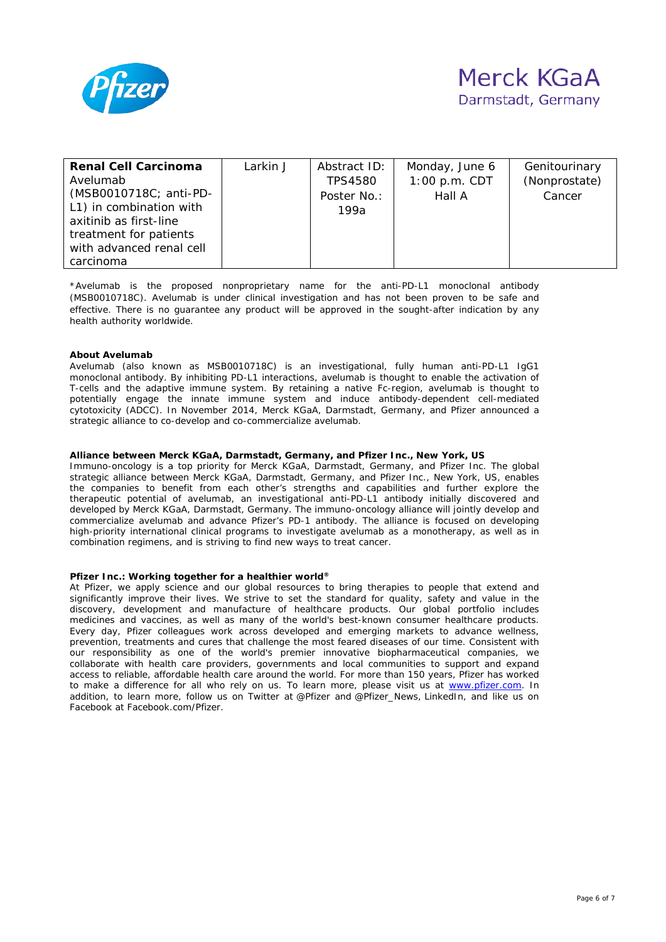

| <b>Renal Cell Carcinoma</b> | Larkin J | Abstract ID:   | Monday, June 6 | Genitourinary |
|-----------------------------|----------|----------------|----------------|---------------|
| Avelumab                    |          | <b>TPS4580</b> | 1:00 p.m. CDT  | (Nonprostate) |
| (MSB0010718C; anti-PD-      |          | Poster No.:    | Hall A         | Cancer        |
| L1) in combination with     |          | 199a           |                |               |
| axitinib as first-line      |          |                |                |               |
| treatment for patients      |          |                |                |               |
| with advanced renal cell    |          |                |                |               |
| carcinoma                   |          |                |                |               |

\*Avelumab is the proposed nonproprietary name for the anti-PD-L1 monoclonal antibody (MSB0010718C). Avelumab is under clinical investigation and has not been proven to be safe and effective. There is no guarantee any product will be approved in the sought-after indication by any health authority worldwide.

### **About Avelumab**

Avelumab (also known as MSB0010718C) is an investigational, fully human anti-PD-L1 IgG1 monoclonal antibody. By inhibiting PD-L1 interactions, avelumab is thought to enable the activation of T-cells and the adaptive immune system. By retaining a native Fc-region, avelumab is thought to potentially engage the innate immune system and induce antibody-dependent cell-mediated cytotoxicity (ADCC). In November 2014, Merck KGaA, Darmstadt, Germany, and Pfizer announced a strategic alliance to co-develop and co-commercialize avelumab.

#### **Alliance between Merck KGaA, Darmstadt, Germany, and Pfizer Inc., New York, US**

Immuno-oncology is a top priority for Merck KGaA, Darmstadt, Germany, and Pfizer Inc. The global strategic alliance between Merck KGaA, Darmstadt, Germany, and Pfizer Inc., New York, US, enables the companies to benefit from each other's strengths and capabilities and further explore the therapeutic potential of avelumab, an investigational anti-PD-L1 antibody initially discovered and developed by Merck KGaA, Darmstadt, Germany. The immuno-oncology alliance will jointly develop and commercialize avelumab and advance Pfizer's PD-1 antibody. The alliance is focused on developing high-priority international clinical programs to investigate avelumab as a monotherapy, as well as in combination regimens, and is striving to find new ways to treat cancer.

#### **Pfizer Inc.: Working together for a healthier world®**

At Pfizer, we apply science and our global resources to bring therapies to people that extend and significantly improve their lives. We strive to set the standard for quality, safety and value in the discovery, development and manufacture of healthcare products. Our global portfolio includes medicines and vaccines, as well as many of the world's best-known consumer healthcare products. Every day, Pfizer colleagues work across developed and emerging markets to advance wellness, prevention, treatments and cures that challenge the most feared diseases of our time. Consistent with our responsibility as one of the world's premier innovative biopharmaceutical companies, we collaborate with health care providers, governments and local communities to support and expand access to reliable, affordable health care around the world. For more than 150 years, Pfizer has worked to make a difference for all who rely on us. To learn more, please visit us at [www.pfizer.com.](http://www.pfizer.com/) In addition, to learn more, follow us on Twitter at @Pfizer and @Pfizer News, LinkedIn, and like us on Facebook at Facebook.com/Pfizer.